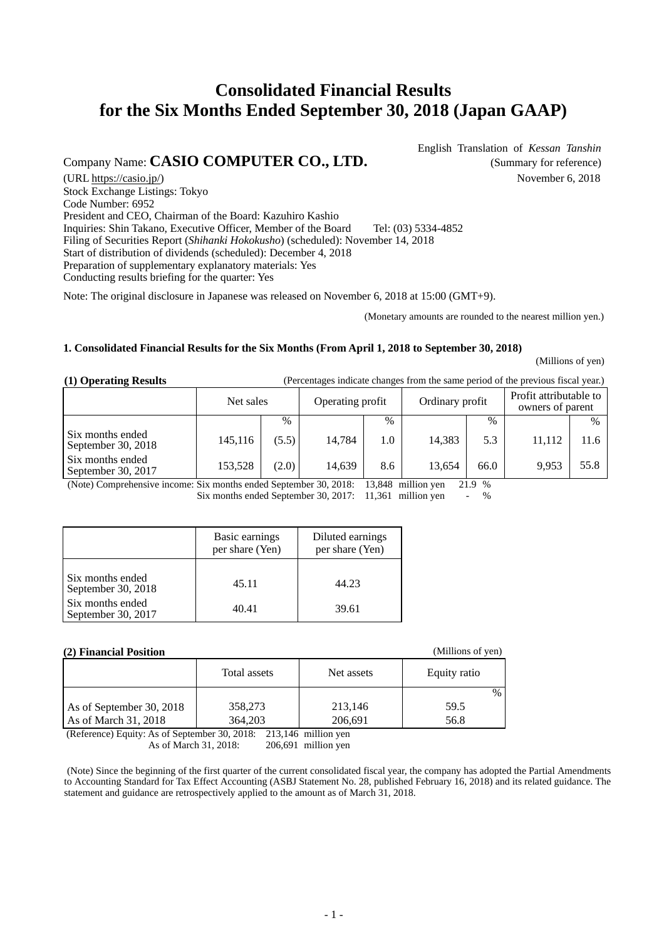# **Consolidated Financial Results for the Six Months Ended September 30, 2018 (Japan GAAP)**

## Company Name: **CASIO COMPUTER CO., LTD.** (Summary for reference)

 English Translation of *Kessan Tanshin* (URL https://casio.jp/) November 6, 2018

Stock Exchange Listings: Tokyo Code Number: 6952 President and CEO, Chairman of the Board: Kazuhiro Kashio Inquiries: Shin Takano, Executive Officer, Member of the Board Tel: (03) 5334-4852 Filing of Securities Report (*Shihanki Hokokusho*) (scheduled): November 14, 2018 Start of distribution of dividends (scheduled): December 4, 2018 Preparation of supplementary explanatory materials: Yes Conducting results briefing for the quarter: Yes

Note: The original disclosure in Japanese was released on November 6, 2018 at 15:00 (GMT+9).

(Monetary amounts are rounded to the nearest million yen.)

### **1. Consolidated Financial Results for the Six Months (From April 1, 2018 to September 30, 2018)**

(Millions of yen)

| (1) Operating Results | (Percentages indicate changes from the same period of the previous fiscal year.) |  |
|-----------------------|----------------------------------------------------------------------------------|--|
|-----------------------|----------------------------------------------------------------------------------|--|

|                                          | Net sales |               | Operating profit |      | Ordinary profit |      | Profit attributable to<br>owners of parent |      |
|------------------------------------------|-----------|---------------|------------------|------|-----------------|------|--------------------------------------------|------|
|                                          |           | $\frac{0}{0}$ |                  | $\%$ |                 | $\%$ |                                            | $\%$ |
| Six months ended<br>September 30, 2018   | 145,116   | (5.5)         | 14.784           | 1.0  | 14.383          | 5.3  | 11,112                                     | 11.6 |
| Six months ended<br>September 30, $2017$ | 153,528   | (2.0)         | 14.639           | 8.6  | 13.654          | 66.0 | 9.953                                      | 55.8 |

(Note) Comprehensive income: Six months ended September 30, 2018: 13,848 million yen 21.9 % Six months ended September 30, 2017: 11,361 million yen - %

|                                        | Basic earnings<br>per share (Yen) | Diluted earnings<br>per share (Yen) |
|----------------------------------------|-----------------------------------|-------------------------------------|
| Six months ended<br>September 30, 2018 | 45.11                             | 44.23                               |
| Six months ended<br>September 30, 2017 | 40.41                             | 39.61                               |

#### **(2) Financial Position** (Millions of yen)

| (4) FINANCIAI I USRUUM   |              |            |              |  |  |  |
|--------------------------|--------------|------------|--------------|--|--|--|
|                          | Total assets | Net assets | Equity ratio |  |  |  |
|                          |              |            | $\%$         |  |  |  |
| As of September 30, 2018 | 358,273      | 213,146    | 59.5         |  |  |  |
| As of March 31, 2018     | 364,203      | 206,691    | 56.8         |  |  |  |

(Reference) Equity: As of September 30, 2018: 213,146 million yen As of March 31, 2018: 206,691 million yen

 (Note) Since the beginning of the first quarter of the current consolidated fiscal year, the company has adopted the Partial Amendments to Accounting Standard for Tax Effect Accounting (ASBJ Statement No. 28, published February 16, 2018) and its related guidance. The statement and guidance are retrospectively applied to the amount as of March 31, 2018.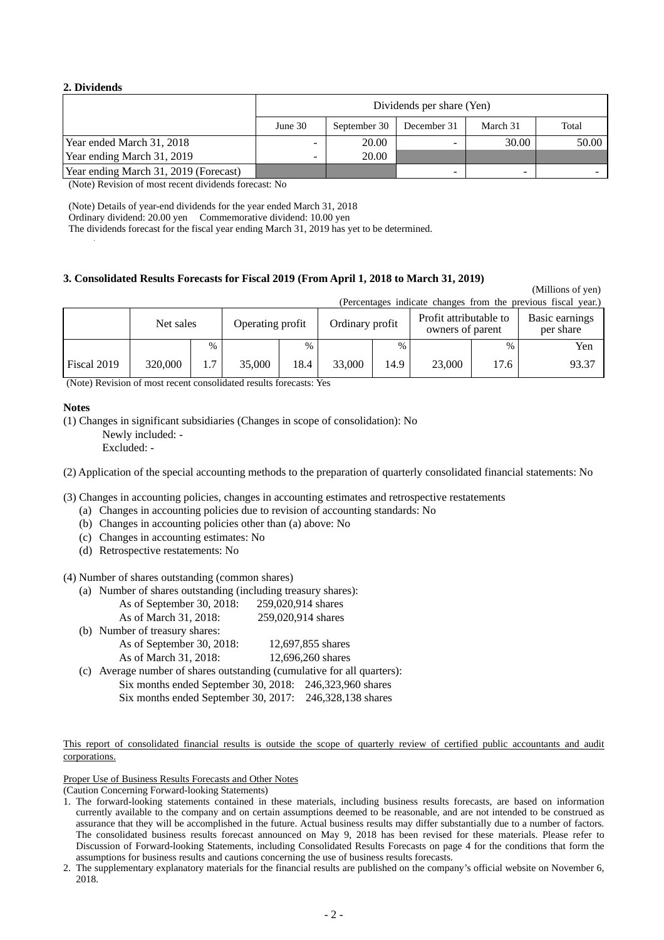### **2. Dividends**

|                                       |            | Dividends per share (Yen) |             |          |       |  |
|---------------------------------------|------------|---------------------------|-------------|----------|-------|--|
|                                       | June $301$ | September 30              | December 31 | March 31 | Total |  |
| Year ended March 31, 2018             |            | 20.00                     |             | 30.00    | 50.00 |  |
| Year ending March 31, 2019            | -          | 20.00                     |             |          |       |  |
| Year ending March 31, 2019 (Forecast) |            |                           | -           |          |       |  |

(Note) Revision of most recent dividends forecast: No

(Note) Details of year-end dividends for the year ended March 31, 2018

Ordinary dividend: 20.00 yen Commemorative dividend: 10.00 yen

The dividends forecast for the fiscal year ending March 31, 2019 has yet to be determined.

#### **3. Consolidated Results Forecasts for Fiscal 2019 (From April 1, 2018 to March 31, 2019)**

|             |           |               |                                     |      |                                            | (Percentages indicate changes from the previous fiscal year.) |                             |      |       |
|-------------|-----------|---------------|-------------------------------------|------|--------------------------------------------|---------------------------------------------------------------|-----------------------------|------|-------|
|             | Net sales |               | Ordinary profit<br>Operating profit |      | Profit attributable to<br>owners of parent |                                                               | Basic earnings<br>per share |      |       |
|             |           | $\frac{0}{0}$ |                                     | $\%$ |                                            | $\%$                                                          |                             | $\%$ | Yen   |
| Fiscal 2019 | 320,000   | 1.7           | 35,000                              | 18.4 | 33,000                                     | 14.9                                                          | 23,000                      | 17.6 | 93.37 |

(Millions of yen)

(Note) Revision of most recent consolidated results forecasts: Yes

#### **Notes**

(1) Changes in significant subsidiaries (Changes in scope of consolidation): No

Newly included: -

Excluded: -

(2) Application of the special accounting methods to the preparation of quarterly consolidated financial statements: No

- (3) Changes in accounting policies, changes in accounting estimates and retrospective restatements
	- (a) Changes in accounting policies due to revision of accounting standards: No
	- (b) Changes in accounting policies other than (a) above: No
	- (c) Changes in accounting estimates: No
	- (d) Retrospective restatements: No

(4) Number of shares outstanding (common shares)

(a) Number of shares outstanding (including treasury shares):

| As of September 30, 2018:      | 259,020,914 shares |
|--------------------------------|--------------------|
| As of March 31, 2018:          | 259,020,914 shares |
| (b) Number of treasury shares: |                    |

| $\sigma$ ) relatively of treasury strates.                  |                   |
|-------------------------------------------------------------|-------------------|
| As of September 30, 2018:                                   | 12,697,855 shares |
| As of March 31, 2018:                                       | 12,696,260 shares |
| c) Average number of chares outstanding commulative for all |                   |

(c) Average number of shares outstanding (cumulative for all quarters): Six months ended September 30, 2018: 246,323,960 shares

Proper Use of Business Results Forecasts and Other Notes

(Caution Concerning Forward-looking Statements)

Six months ended September 30, 2017: 246,328,138 shares

This report of consolidated financial results is outside the scope of quarterly review of certified public accountants and audit corporations.

<sup>1.</sup> The forward-looking statements contained in these materials, including business results forecasts, are based on information currently available to the company and on certain assumptions deemed to be reasonable, and are not intended to be construed as assurance that they will be accomplished in the future. Actual business results may differ substantially due to a number of factors. The consolidated business results forecast announced on May 9, 2018 has been revised for these materials. Please refer to Discussion of Forward-looking Statements, including Consolidated Results Forecasts on page 4 for the conditions that form the assumptions for business results and cautions concerning the use of business results forecasts.

<sup>2.</sup> The supplementary explanatory materials for the financial results are published on the company's official website on November 6, 2018.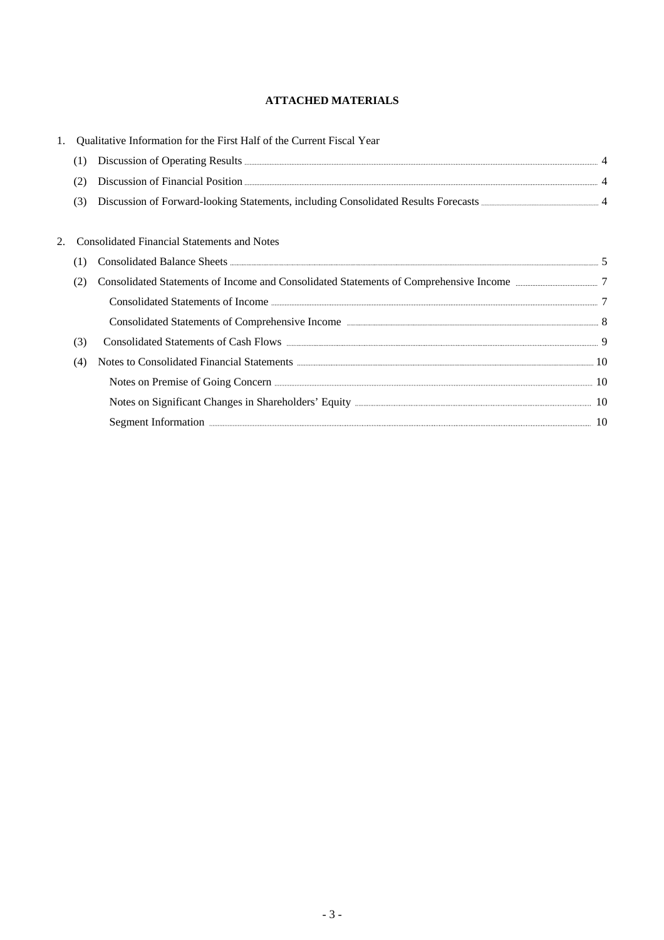### **ATTACHED MATERIALS**

|     | Qualitative Information for the First Half of the Current Fiscal Year                                                                                                                                                                              |  |
|-----|----------------------------------------------------------------------------------------------------------------------------------------------------------------------------------------------------------------------------------------------------|--|
| (1) |                                                                                                                                                                                                                                                    |  |
| (2) |                                                                                                                                                                                                                                                    |  |
| (3) |                                                                                                                                                                                                                                                    |  |
|     | <b>Consolidated Financial Statements and Notes</b>                                                                                                                                                                                                 |  |
| (1) |                                                                                                                                                                                                                                                    |  |
| (2) | Consolidated Statements of Income and Consolidated Statements of Comprehensive Income manufacturers 7                                                                                                                                              |  |
|     |                                                                                                                                                                                                                                                    |  |
|     |                                                                                                                                                                                                                                                    |  |
| (3) |                                                                                                                                                                                                                                                    |  |
| (4) | Notes to Consolidated Financial Statements <b>Election Consolidated</b> Financial Statements <b>Election</b> Consolidated Financial Statements <b>Election Consolidated</b> Financial Statements <b>Election</b> Consolidated Financial Statements |  |
|     | Notes on Premise of Going Concern <b>Election</b> Concern <b>Constant Constant Constant Constant Constant Constant Constant Constant Constant Constant Constant Constant Constant Constant Constant Constant Constant Constant Consta</b>          |  |
|     |                                                                                                                                                                                                                                                    |  |
|     | Segment Information <b>Example 2018</b> 10                                                                                                                                                                                                         |  |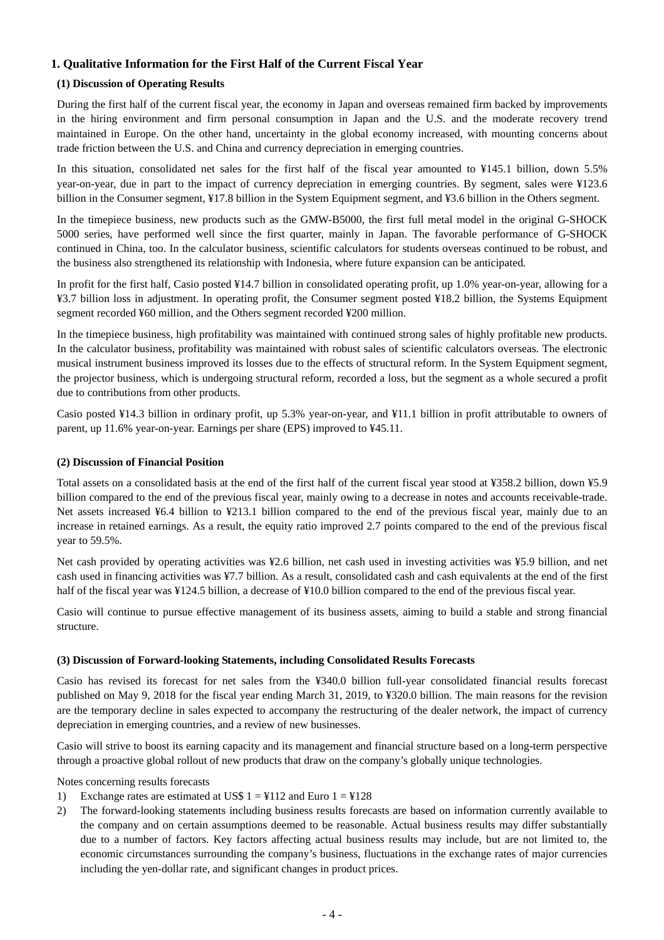### **1. Qualitative Information for the First Half of the Current Fiscal Year**

### **(1) Discussion of Operating Results**

During the first half of the current fiscal year, the economy in Japan and overseas remained firm backed by improvements in the hiring environment and firm personal consumption in Japan and the U.S. and the moderate recovery trend maintained in Europe. On the other hand, uncertainty in the global economy increased, with mounting concerns about trade friction between the U.S. and China and currency depreciation in emerging countries.

In this situation, consolidated net sales for the first half of the fiscal year amounted to ¥145.1 billion, down 5.5% year-on-year, due in part to the impact of currency depreciation in emerging countries. By segment, sales were ¥123.6 billion in the Consumer segment, ¥17.8 billion in the System Equipment segment, and ¥3.6 billion in the Others segment.

In the timepiece business, new products such as the GMW-B5000, the first full metal model in the original G-SHOCK 5000 series, have performed well since the first quarter, mainly in Japan. The favorable performance of G-SHOCK continued in China, too. In the calculator business, scientific calculators for students overseas continued to be robust, and the business also strengthened its relationship with Indonesia, where future expansion can be anticipated.

In profit for the first half, Casio posted ¥14.7 billion in consolidated operating profit, up 1.0% year-on-year, allowing for a ¥3.7 billion loss in adjustment. In operating profit, the Consumer segment posted ¥18.2 billion, the Systems Equipment segment recorded ¥60 million, and the Others segment recorded ¥200 million.

In the timepiece business, high profitability was maintained with continued strong sales of highly profitable new products. In the calculator business, profitability was maintained with robust sales of scientific calculators overseas. The electronic musical instrument business improved its losses due to the effects of structural reform. In the System Equipment segment, the projector business, which is undergoing structural reform, recorded a loss, but the segment as a whole secured a profit due to contributions from other products.

Casio posted ¥14.3 billion in ordinary profit, up 5.3% year-on-year, and ¥11.1 billion in profit attributable to owners of parent, up 11.6% year-on-year. Earnings per share (EPS) improved to ¥45.11.

#### **(2) Discussion of Financial Position**

Total assets on a consolidated basis at the end of the first half of the current fiscal year stood at ¥358.2 billion, down ¥5.9 billion compared to the end of the previous fiscal year, mainly owing to a decrease in notes and accounts receivable-trade. Net assets increased ¥6.4 billion to ¥213.1 billion compared to the end of the previous fiscal year, mainly due to an increase in retained earnings. As a result, the equity ratio improved 2.7 points compared to the end of the previous fiscal year to 59.5%.

Net cash provided by operating activities was ¥2.6 billion, net cash used in investing activities was ¥5.9 billion, and net cash used in financing activities was ¥7.7 billion. As a result, consolidated cash and cash equivalents at the end of the first half of the fiscal year was ¥124.5 billion, a decrease of ¥10.0 billion compared to the end of the previous fiscal year.

Casio will continue to pursue effective management of its business assets, aiming to build a stable and strong financial structure.

#### **(3) Discussion of Forward-looking Statements, including Consolidated Results Forecasts**

Casio has revised its forecast for net sales from the ¥340.0 billion full-year consolidated financial results forecast published on May 9, 2018 for the fiscal year ending March 31, 2019, to ¥320.0 billion. The main reasons for the revision are the temporary decline in sales expected to accompany the restructuring of the dealer network, the impact of currency depreciation in emerging countries, and a review of new businesses.

Casio will strive to boost its earning capacity and its management and financial structure based on a long-term perspective through a proactive global rollout of new products that draw on the company's globally unique technologies.

Notes concerning results forecasts

- 1) Exchange rates are estimated at US\$  $1 = \frac{1}{2}112$  and Euro  $1 = \frac{1}{2}128$
- 2) The forward-looking statements including business results forecasts are based on information currently available to the company and on certain assumptions deemed to be reasonable. Actual business results may differ substantially due to a number of factors. Key factors affecting actual business results may include, but are not limited to, the economic circumstances surrounding the company's business, fluctuations in the exchange rates of major currencies including the yen-dollar rate, and significant changes in product prices.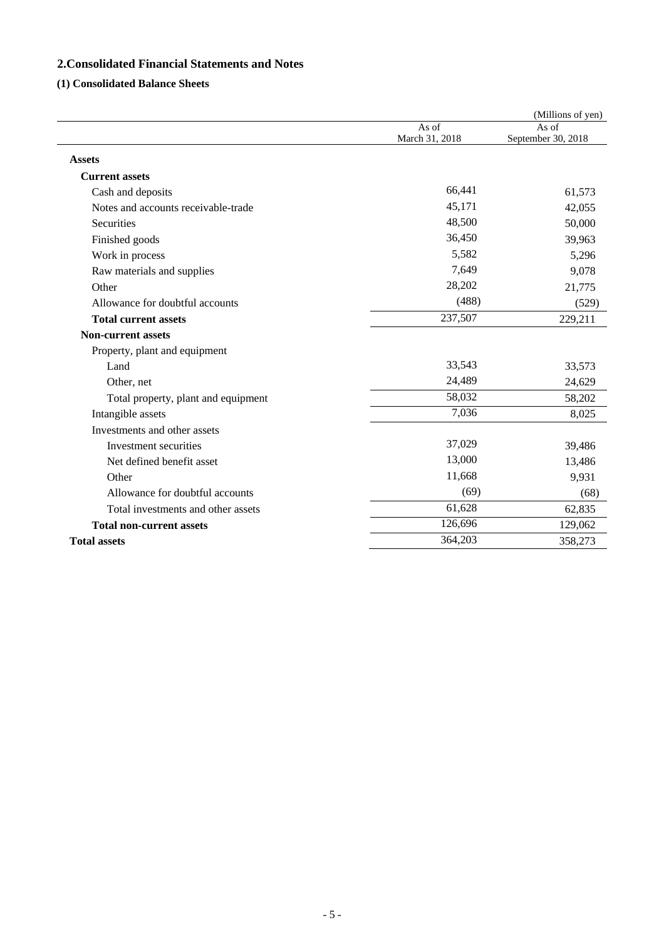### **2.Consolidated Financial Statements and Notes**

### **(1) Consolidated Balance Sheets**

|                                     |                         | (Millions of yen)           |
|-------------------------------------|-------------------------|-----------------------------|
|                                     | As of<br>March 31, 2018 | As of<br>September 30, 2018 |
| <b>Assets</b>                       |                         |                             |
| <b>Current assets</b>               |                         |                             |
| Cash and deposits                   | 66,441                  | 61,573                      |
| Notes and accounts receivable-trade | 45,171                  | 42,055                      |
| <b>Securities</b>                   | 48,500                  | 50,000                      |
| Finished goods                      | 36,450                  | 39,963                      |
| Work in process                     | 5,582                   | 5,296                       |
| Raw materials and supplies          | 7,649                   | 9,078                       |
| Other                               | 28,202                  | 21,775                      |
| Allowance for doubtful accounts     | (488)                   | (529)                       |
| <b>Total current assets</b>         | 237,507                 | 229,211                     |
| <b>Non-current assets</b>           |                         |                             |
| Property, plant and equipment       |                         |                             |
| Land                                | 33,543                  | 33,573                      |
| Other, net                          | 24,489                  | 24,629                      |
| Total property, plant and equipment | 58,032                  | 58,202                      |
| Intangible assets                   | 7,036                   | 8,025                       |
| Investments and other assets        |                         |                             |
| Investment securities               | 37,029                  | 39,486                      |
| Net defined benefit asset           | 13,000                  | 13,486                      |
| Other                               | 11,668                  | 9,931                       |
| Allowance for doubtful accounts     | (69)                    | (68)                        |
| Total investments and other assets  | 61,628                  | 62,835                      |
| <b>Total non-current assets</b>     | 126,696                 | 129,062                     |
| <b>Total assets</b>                 | 364,203                 | 358,273                     |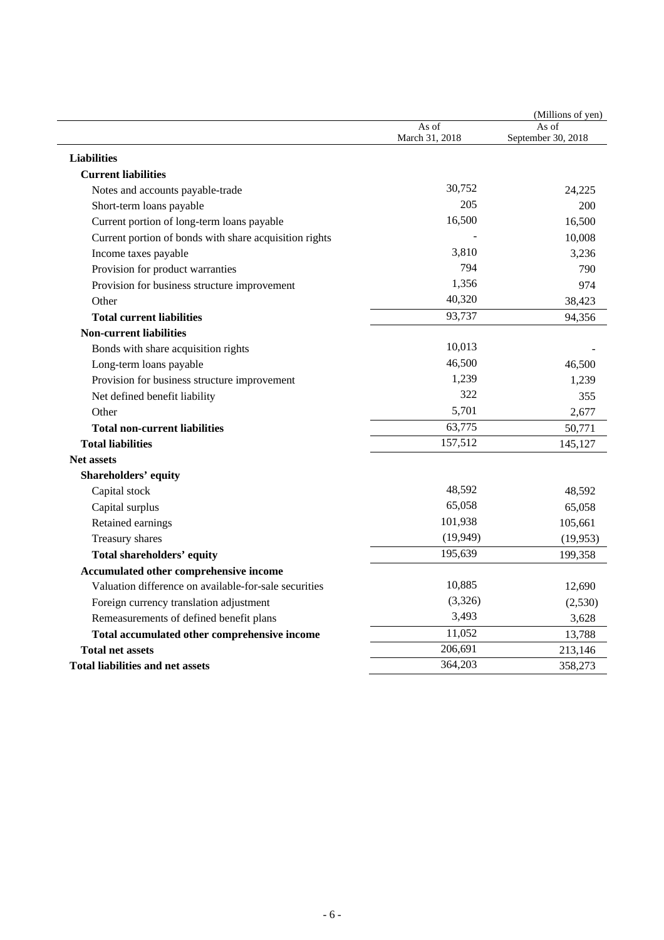|                                                        |                         | (Millions of yen)           |
|--------------------------------------------------------|-------------------------|-----------------------------|
|                                                        | As of<br>March 31, 2018 | As of<br>September 30, 2018 |
| <b>Liabilities</b>                                     |                         |                             |
| <b>Current liabilities</b>                             |                         |                             |
| Notes and accounts payable-trade                       | 30,752                  | 24,225                      |
| Short-term loans payable                               | 205                     | 200                         |
| Current portion of long-term loans payable             | 16,500                  | 16,500                      |
| Current portion of bonds with share acquisition rights |                         | 10,008                      |
| Income taxes payable                                   | 3,810                   | 3,236                       |
| Provision for product warranties                       | 794                     | 790                         |
| Provision for business structure improvement           | 1,356                   | 974                         |
| Other                                                  | 40,320                  | 38,423                      |
| <b>Total current liabilities</b>                       | 93,737                  | 94,356                      |
| <b>Non-current liabilities</b>                         |                         |                             |
| Bonds with share acquisition rights                    | 10,013                  |                             |
| Long-term loans payable                                | 46,500                  | 46,500                      |
| Provision for business structure improvement           | 1,239                   | 1,239                       |
| Net defined benefit liability                          | 322                     | 355                         |
| Other                                                  | 5,701                   | 2,677                       |
| <b>Total non-current liabilities</b>                   | 63,775                  | 50,771                      |
| <b>Total liabilities</b>                               | 157,512                 | 145,127                     |
| <b>Net assets</b>                                      |                         |                             |
| Shareholders' equity                                   |                         |                             |
| Capital stock                                          | 48,592                  | 48,592                      |
| Capital surplus                                        | 65,058                  | 65,058                      |
| Retained earnings                                      | 101,938                 | 105,661                     |
| Treasury shares                                        | (19, 949)               | (19, 953)                   |
| Total shareholders' equity                             | 195,639                 | 199,358                     |
| Accumulated other comprehensive income                 |                         |                             |
| Valuation difference on available-for-sale securities  | 10,885                  | 12,690                      |
| Foreign currency translation adjustment                | (3,326)                 | (2,530)                     |
| Remeasurements of defined benefit plans                | 3,493                   | 3,628                       |
| Total accumulated other comprehensive income           | 11,052                  | 13,788                      |
| <b>Total net assets</b>                                | 206,691                 | 213,146                     |
| Total liabilities and net assets                       | 364,203                 | 358,273                     |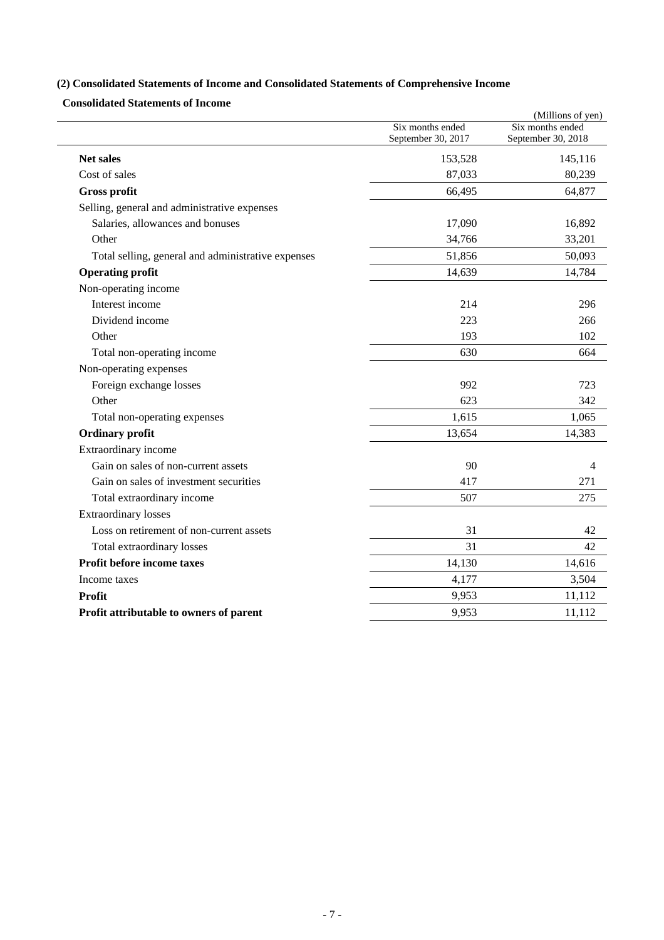# **(2) Consolidated Statements of Income and Consolidated Statements of Comprehensive Income**

**Consolidated Statements of Income** 

|                                                    | Six months ended   | (Millions of yen)<br>Six months ended |
|----------------------------------------------------|--------------------|---------------------------------------|
|                                                    | September 30, 2017 | September 30, 2018                    |
| <b>Net sales</b>                                   | 153,528            | 145,116                               |
| Cost of sales                                      | 87,033             | 80,239                                |
| <b>Gross profit</b>                                | 66,495             | 64,877                                |
| Selling, general and administrative expenses       |                    |                                       |
| Salaries, allowances and bonuses                   | 17,090             | 16,892                                |
| Other                                              | 34,766             | 33,201                                |
| Total selling, general and administrative expenses | 51,856             | 50,093                                |
| <b>Operating profit</b>                            | 14,639             | 14,784                                |
| Non-operating income                               |                    |                                       |
| Interest income                                    | 214                | 296                                   |
| Dividend income                                    | 223                | 266                                   |
| Other                                              | 193                | 102                                   |
| Total non-operating income                         | 630                | 664                                   |
| Non-operating expenses                             |                    |                                       |
| Foreign exchange losses                            | 992                | 723                                   |
| Other                                              | 623                | 342                                   |
| Total non-operating expenses                       | 1,615              | 1,065                                 |
| <b>Ordinary</b> profit                             | 13,654             | 14,383                                |
| Extraordinary income                               |                    |                                       |
| Gain on sales of non-current assets                | 90                 | 4                                     |
| Gain on sales of investment securities             | 417                | 271                                   |
| Total extraordinary income                         | 507                | 275                                   |
| <b>Extraordinary losses</b>                        |                    |                                       |
| Loss on retirement of non-current assets           | 31                 | 42                                    |
| Total extraordinary losses                         | 31                 | 42                                    |
| Profit before income taxes                         | 14,130             | 14,616                                |
| Income taxes                                       | 4,177              | 3,504                                 |
| Profit                                             | 9,953              | 11,112                                |
| Profit attributable to owners of parent            | 9,953              | 11,112                                |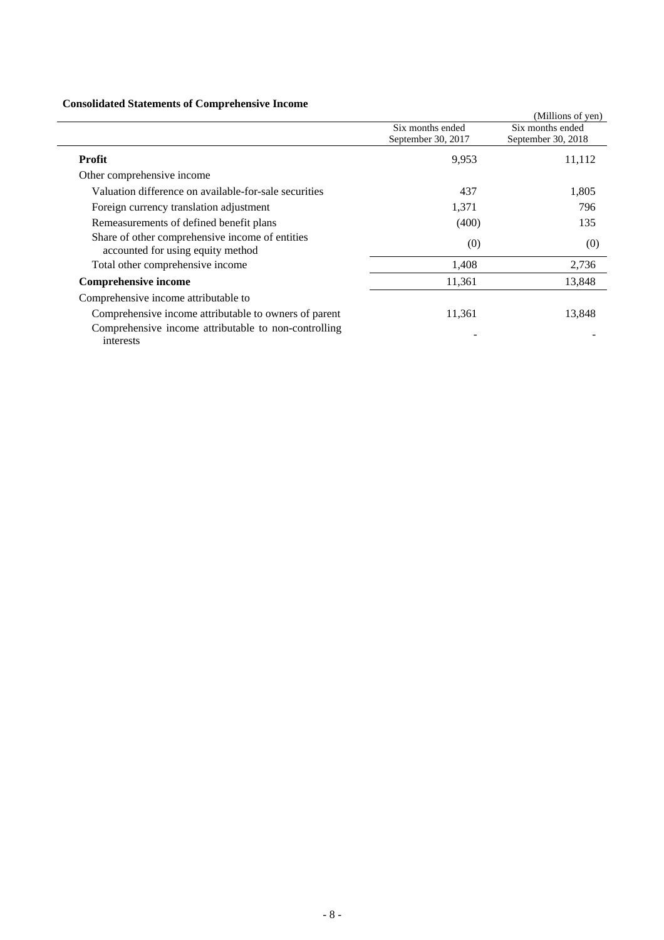### **Consolidated Statements of Comprehensive Income**

| Consolidated Statements of Complements of Income                                     |                    |                    |
|--------------------------------------------------------------------------------------|--------------------|--------------------|
|                                                                                      |                    | (Millions of yen)  |
|                                                                                      | Six months ended   | Six months ended   |
|                                                                                      | September 30, 2017 | September 30, 2018 |
| <b>Profit</b>                                                                        | 9,953              | 11,112             |
| Other comprehensive income                                                           |                    |                    |
| Valuation difference on available-for-sale securities                                | 437                | 1,805              |
| Foreign currency translation adjustment                                              | 1,371              | 796                |
| Remeasurements of defined benefit plans                                              | (400)              | 135                |
| Share of other comprehensive income of entities<br>accounted for using equity method | (0)                | (0)                |
| Total other comprehensive income                                                     | 1,408              | 2,736              |
| <b>Comprehensive income</b>                                                          | 11,361             | 13,848             |
| Comprehensive income attributable to                                                 |                    |                    |
| Comprehensive income attributable to owners of parent                                | 11,361             | 13,848             |
| Comprehensive income attributable to non-controlling<br>interests                    |                    |                    |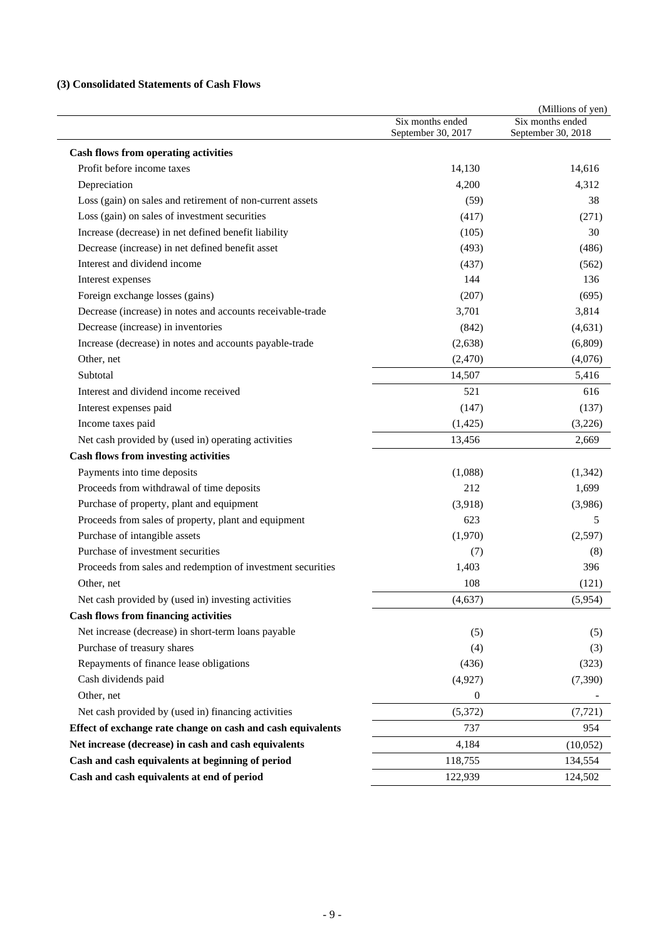### **(3) Consolidated Statements of Cash Flows**

|                                                             | Six months ended<br>September 30, 2017 | (Millions of yen)<br>Six months ended<br>September 30, 2018 |
|-------------------------------------------------------------|----------------------------------------|-------------------------------------------------------------|
| <b>Cash flows from operating activities</b>                 |                                        |                                                             |
| Profit before income taxes                                  | 14,130                                 | 14,616                                                      |
| Depreciation                                                | 4,200                                  | 4,312                                                       |
| Loss (gain) on sales and retirement of non-current assets   | (59)                                   | 38                                                          |
| Loss (gain) on sales of investment securities               | (417)                                  | (271)                                                       |
| Increase (decrease) in net defined benefit liability        | (105)                                  | 30                                                          |
| Decrease (increase) in net defined benefit asset            | (493)                                  | (486)                                                       |
| Interest and dividend income                                | (437)                                  | (562)                                                       |
| Interest expenses                                           | 144                                    | 136                                                         |
| Foreign exchange losses (gains)                             | (207)                                  | (695)                                                       |
| Decrease (increase) in notes and accounts receivable-trade  | 3,701                                  | 3,814                                                       |
| Decrease (increase) in inventories                          | (842)                                  | (4, 631)                                                    |
| Increase (decrease) in notes and accounts payable-trade     | (2,638)                                | (6,809)                                                     |
| Other, net                                                  | (2,470)                                | (4,076)                                                     |
| Subtotal                                                    | 14,507                                 | 5,416                                                       |
| Interest and dividend income received                       | 521                                    | 616                                                         |
| Interest expenses paid                                      | (147)                                  | (137)                                                       |
| Income taxes paid                                           | (1, 425)                               | (3,226)                                                     |
| Net cash provided by (used in) operating activities         | 13,456                                 | 2,669                                                       |
| <b>Cash flows from investing activities</b>                 |                                        |                                                             |
| Payments into time deposits                                 | (1,088)                                | (1, 342)                                                    |
| Proceeds from withdrawal of time deposits                   | 212                                    | 1,699                                                       |
| Purchase of property, plant and equipment                   | (3,918)                                | (3,986)                                                     |
| Proceeds from sales of property, plant and equipment        | 623                                    | 5                                                           |
| Purchase of intangible assets                               | (1,970)                                | (2,597)                                                     |
| Purchase of investment securities                           | (7)                                    | (8)                                                         |
| Proceeds from sales and redemption of investment securities | 1,403                                  | 396                                                         |
| Other, net                                                  | 108                                    | (121)                                                       |
| Net cash provided by (used in) investing activities         | (4, 637)                               | (5,954)                                                     |
| <b>Cash flows from financing activities</b>                 |                                        |                                                             |
| Net increase (decrease) in short-term loans payable         | (5)                                    | (5)                                                         |
| Purchase of treasury shares                                 | (4)                                    | (3)                                                         |
| Repayments of finance lease obligations                     | (436)                                  | (323)                                                       |
| Cash dividends paid                                         | (4,927)                                | (7,390)                                                     |
| Other, net                                                  | $\theta$                               |                                                             |
| Net cash provided by (used in) financing activities         | (5,372)                                | (7, 721)                                                    |
| Effect of exchange rate change on cash and cash equivalents | 737                                    | 954                                                         |
| Net increase (decrease) in cash and cash equivalents        | 4,184                                  | (10,052)                                                    |
| Cash and cash equivalents at beginning of period            | 118,755                                | 134,554                                                     |
| Cash and cash equivalents at end of period                  | 122,939                                | 124,502                                                     |